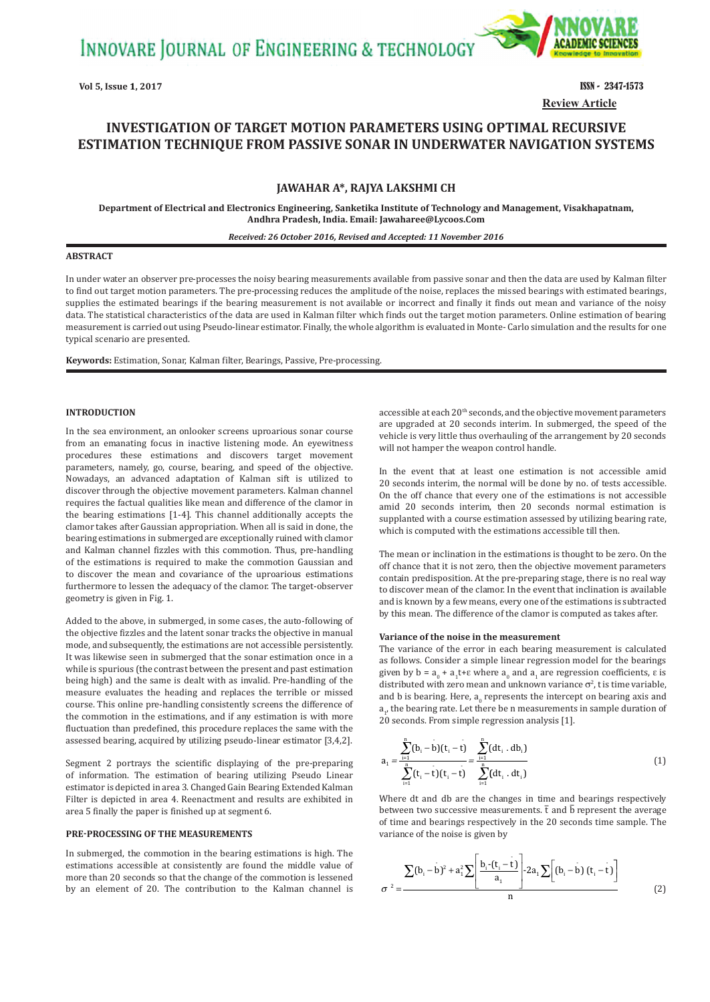INNOVARE JOURNAL OF ENGINEERING & TECHNOLOGY



**Review Article**

# **INVESTIGATION OF TARGET MOTION PARAMETERS USING OPTIMAL RECURSIVE ESTIMATION TECHNIQUE FROM PASSIVE SONAR IN UNDERWATER NAVIGATION SYSTEMS**

# **JAWAHAR A\*, RAJYA LAKSHMI CH**

**Department of Electrical and Electronics Engineering, Sanketika Institute of Technology and Management, Visakhapatnam, Andhra Pradesh, India. Email: Jawaharee@Lycoos.Com**

#### *Received: 26 October 2016, Revised and Accepted: 11 November 2016*

### **ABSTRACT**

In under water an observer pre‑processes the noisy bearing measurements available from passive sonar and then the data are used by Kalman filter to find out target motion parameters. The pre-processing reduces the amplitude of the noise, replaces the missed bearings with estimated bearings, supplies the estimated bearings if the bearing measurement is not available or incorrect and finally it finds out mean and variance of the noisy data. The statistical characteristics of the data are used in Kalman filter which finds out the target motion parameters. Online estimation of bearing measurement is carried out using Pseudo-linear estimator. Finally, the whole algorithm is evaluated in Monte-Carlo simulation and the results for one typical scenario are presented.

**Keywords:** Estimation, Sonar, Kalman filter, Bearings, Passive, Pre‑processing.

# **INTRODUCTION**

In the sea environment, an onlooker screens uproarious sonar course from an emanating focus in inactive listening mode. An eyewitness procedures these estimations and discovers target movement parameters, namely, go, course, bearing, and speed of the objective. Nowadays, an advanced adaptation of Kalman sift is utilized to discover through the objective movement parameters. Kalman channel requires the factual qualities like mean and difference of the clamor in the bearing estimations [1‑4]. This channel additionally accepts the clamor takes after Gaussian appropriation. When all is said in done, the bearing estimations in submerged are exceptionally ruined with clamor and Kalman channel fizzles with this commotion. Thus, pre‑handling of the estimations is required to make the commotion Gaussian and to discover the mean and covariance of the uproarious estimations furthermore to lessen the adequacy of the clamor. The target-observer geometry is given in Fig. 1.

Added to the above, in submerged, in some cases, the auto-following of the objective fizzles and the latent sonar tracks the objective in manual mode, and subsequently, the estimations are not accessible persistently. It was likewise seen in submerged that the sonar estimation once in a while is spurious (the contrast between the present and past estimation being high) and the same is dealt with as invalid. Pre-handling of the measure evaluates the heading and replaces the terrible or missed course. This online pre‑handling consistently screens the difference of the commotion in the estimations, and if any estimation is with more fluctuation than predefined, this procedure replaces the same with the assessed bearing, acquired by utilizing pseudo‑linear estimator [3,4,2].

Segment 2 portrays the scientific displaying of the pre-preparing of information. The estimation of bearing utilizing Pseudo Linear estimator is depicted in area 3. Changed Gain Bearing Extended Kalman Filter is depicted in area 4. Reenactment and results are exhibited in area 5 finally the paper is finished up at segment 6.

#### **PRE‑PROCESSING OF THE MEASUREMENTS**

In submerged, the commotion in the bearing estimations is high. The estimations accessible at consistently are found the middle value of more than 20 seconds so that the change of the commotion is lessened by an element of 20. The contribution to the Kalman channel is accessible at each 20<sup>th</sup> seconds, and the objective movement parameters are upgraded at 20 seconds interim. In submerged, the speed of the vehicle is very little thus overhauling of the arrangement by 20 seconds will not hamper the weapon control handle.

In the event that at least one estimation is not accessible amid 20 seconds interim, the normal will be done by no. of tests accessible. On the off chance that every one of the estimations is not accessible amid 20 seconds interim, then 20 seconds normal estimation is supplanted with a course estimation assessed by utilizing bearing rate, which is computed with the estimations accessible till then.

The mean or inclination in the estimations is thought to be zero. On the off chance that it is not zero, then the objective movement parameters contain predisposition. At the pre‑preparing stage, there is no real way to discover mean of the clamor. In the event that inclination is available and is known by a few means, every one of the estimations is subtracted by this mean. The difference of the clamor is computed as takes after.

#### **Variance of the noise in the measurement**

The variance of the error in each bearing measurement is calculated as follows. Consider a simple linear regression model for the bearings given by  $b = a_0 + a_1 t + \varepsilon$  where  $a_0$  and  $a_1$  are regression coefficients,  $\varepsilon$  is distributed with zero mean and unknown variance  $\sigma^2$ , t is time variable, and b is bearing. Here,  $a_{0}$  represents the intercept on bearing axis and  $a_{1}$ , the bearing rate. Let there be n measurements in sample duration of 20 seconds. From simple regression analysis [1].

$$
a_{1} = \frac{\sum_{i=1}^{n} (b_{i} - b)(t_{i} - t)}{\sum_{i=1}^{n} (t_{i} - t)(t_{i} - t)} = \frac{\sum_{i=1}^{n} (dt_{i} \cdot db_{i})}{\sum_{i=1}^{n} (dt_{i} \cdot dt_{i})}
$$
(1)

Where dt and db are the changes in time and bearings respectively between two successive measurements.  $\bar{t}$  and  $\bar{b}$  represent the average of time and bearings respectively in the 20 seconds time sample. The variance of the noise is given by

$$
\sigma^{2} = \frac{\sum (b_{i} - b)^{2} + a_{i}^{2} \sum \left[ \frac{b_{i} - (t_{i} - t)}{a_{i}} \right] \cdot 2 a_{i} \sum \left[ (b_{i} - b) (t_{i} - t) \right]}{n}
$$
(2)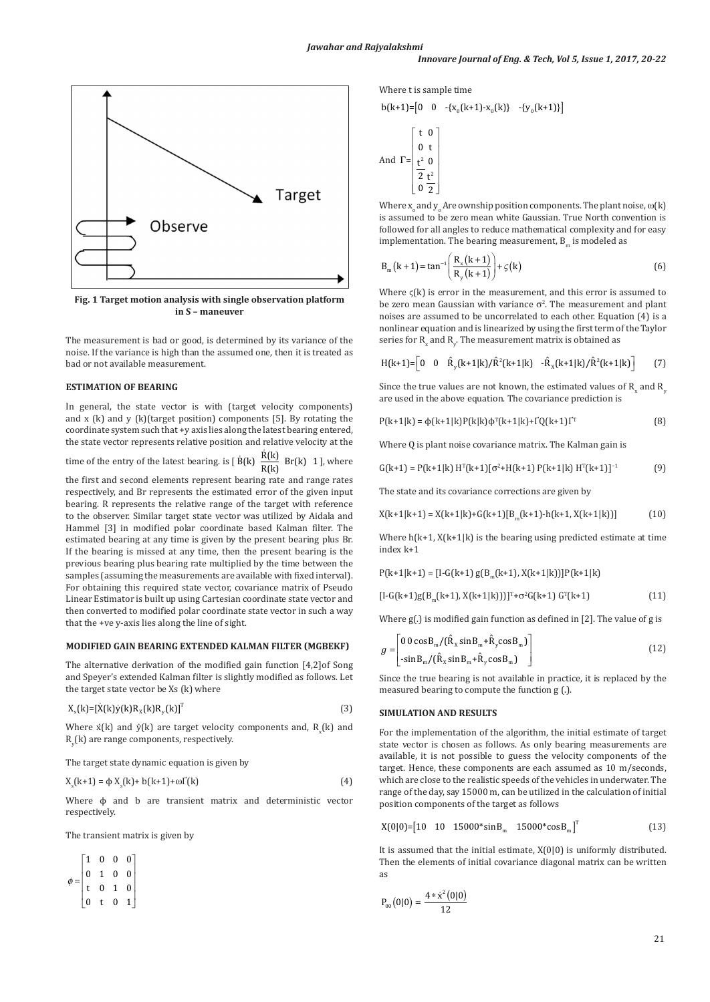

**Fig. 1 Target motion analysis with single observation platform in S – maneuver**

The measurement is bad or good, is determined by its variance of the noise. If the variance is high than the assumed one, then it is treated as bad or not available measurement.

# **ESTIMATION OF BEARING**

In general, the state vector is with (target velocity components) and  $x$  (k) and  $y$  (k)(target position) components [5]. By rotating the coordinate system such that +y axis lies along the latest bearing entered, the state vector represents relative position and relative velocity at the

time of the entry of the latest bearing. is  $[\dot{B}(k) \frac{\dot{R}(k)}{R(k)} Br(k) 1]$ , where

the first and second elements represent bearing rate and range rates respectively, and Br represents the estimated error of the given input bearing. R represents the relative range of the target with reference to the observer. Similar target state vector was utilized by Aidala and Hammel [3] in modified polar coordinate based Kalman filter. The estimated bearing at any time is given by the present bearing plus Br. If the bearing is missed at any time, then the present bearing is the previous bearing plus bearing rate multiplied by the time between the samples (assuming the measurements are available with fixed interval). For obtaining this required state vector, covariance matrix of Pseudo Linear Estimator is built up using Cartesian coordinate state vector and then converted to modified polar coordinate state vector in such a way that the +ve y‑axis lies along the line of sight.

#### **MODIFIED GAIN BEARING EXTENDED KALMAN FILTER (MGBEKF)**

The alternative derivation of the modified gain function [4,2]of Song and Speyer's extended Kalman filter is slightly modified as follows. Let the target state vector be Xs (k) where

$$
X_{s}(k) = [\dot{X}(k)\dot{y}(k)R_{\chi}(k)R_{\gamma}(k)]^{T}
$$
\n(3)

Where  $\dot{x}$ (k) and  $\dot{y}$ (k) are target velocity components and, R<sub>x</sub>(k) and  $\rm R_{y}$ (k) are range components, respectively.

The target state dynamic equation is given by

$$
X_{s}(k+1) = \phi X_{s}(k) + b(k+1) + \omega I^{'}(k)
$$
\n(4)

Where φ and b are transient matrix and deterministic vector respectively.

The transient matrix is given by

 $\phi =$  $|1 \t0 \t0 \t0|$  $\begin{bmatrix} 0 & t & 0 & 1 \end{bmatrix}$  $\parallel$  0 1 0 0 0 1 0 t

Where t is sample time

$$
b(k+1) = [0 \t 0 \t -{x_0(k+1) - x_0(k)} \t -{y_0(k+1)}]
$$
\n
$$
c(k+1) = \begin{bmatrix} t & 0 \\ 0 & t \\ t^2 & 0 \\ 2 & t^2 \\ 0 & 2 \end{bmatrix}
$$
\n
$$
c(k+1) = \begin{bmatrix} 1 & 0 \\ 0 & t \\ 2 & t^2 \\ 0 & 2 \end{bmatrix}
$$
\n
$$
c(k+1) = x_0 + 12x_0 + 12x_0 + 12x_0 + 12x_0 + 12x_0 + 12x_0 + 12x_0 + 12x_0 + 12x_0 + 12x_0 + 12x_0 + 12x_0 + 12x_0 + 12x_0 + 12x_0 + 12x_0 + 12x_0 + 12x_0 + 12x_0 + 12x_0 + 12x_0 + 12x_0 + 12x_0 + 12x_0 + 12x_0 + 12x_0 + 12x_0 + 12x_0 + 12x_0 + 12x_0 + 12x_0 + 12x_0 + 12x_0 + 12x_0 + 12x_0 + 12x_0 + 12x_0 + 12x_0 + 12x_0 + 12x_0 + 12x_0 + 12x_0 + 12x_0 + 12x_0 + 12x_0 + 12x_0 + 12x_0 + 12x_0 + 12x_0 + 12x_0 + 12x_0 + 12x_0 + 12x_0 + 12x_0 + 12x_0 + 12x_0 + 12x_0 + 12x_0 + 12x_0 + 12x_0 + 12x_0 + 12x_0 + 12x_0 + 12x_0 + 12x_0 + 12x_0 + 12x_0 + 12x_0 + 12x_0 + 12x_0 + 12x_0 + 12x_0 + 12x_0 + 12x_0 + 12x_0 + 12x_0 + 12x_0 + 12x_0 + 12x_0 + 12x_0 + 12x_0 + 12x_0 + 12x_0 + 12x_0 + 12x_
$$

ents. The plant noise,  $\omega(k)$ True North convention is followed for all angles to reduce mathematical complexity and for easy implementation. The bearing measurement,  $B_m$  is modeled as

$$
B_{m}(k+1) = \tan^{-1}\left(\frac{R_{x}(k+1)}{R_{y}(k+1)}\right) + \varsigma(k)
$$
 (6)

Where  $\zeta(k)$  is error in the measurement, and this error is assumed to be zero mean Gaussian with variance  $\sigma^2$ . The measurement and plant noises are assumed to be uncorrelated to each other. Equation (4) is a nonlinear equation and is linearized by using the first term of the Taylor series for  $\mathsf{R}_{\mathsf{x}}$  and  $\mathsf{R}_{\mathsf{y}}.$  The measurement matrix is obtained as

$$
H(k+1) = \begin{bmatrix} 0 & 0 & \hat{R}_y(k+1|k)/\hat{R}^2(k+1|k) & -\hat{R}_x(k+1|k)/\hat{R}^2(k+1|k) \end{bmatrix}
$$
 (7)

Since the true values are not known, the estimated values of  $R_{x}$  and  $R_{y}$ are used in the above equation. The covariance prediction is

$$
P(k+1|k) = \phi(k+1|k)P(k|k)\phi^{T}(k+1|k) + \Gamma Q(k+1)\Gamma^{T}
$$
\n(8)

Where Q is plant noise covariance matrix. The Kalman gain is

$$
G(k+1) = P(k+1|k) HT(k+1)[\sigma2+H(k+1) P(k+1|k) HT(k+1)]-1
$$
 (9)

The state and its covariance corrections are given by

$$
X(k+1|k+1) = X(k+1|k) + G(k+1)[B_m(k+1) - h(k+1, X(k+1|k))]
$$
 (10)

Where  $h(k+1, X(k+1|k))$  is the bearing using predicted estimate at time index k+1

 $P(k+1|k+1) = [1-G(k+1) g(B_m(k+1), X(k+1|k))]P(k+1|k)$ 

$$
[I-G(k+1)g(B_m(k+1), X(k+1|k))]]^T + \sigma^2 G(k+1) G^T(k+1)
$$
 (11)

Where g(.) is modified gain function as defined in [2]. The value of g is

$$
g = \begin{bmatrix} 0 & 0 & \cos B_m / (\hat{R}_x \sin B_m + \hat{R}_y \cos B_m) \\ -\sin B_m / (\hat{R}_x \sin B_m + \hat{R}_y \cos B_m) \end{bmatrix}
$$
(12)

Since the true bearing is not available in practice, it is replaced by the measured bearing to compute the function g (.).

### **SIMULATION AND RESULTS**

For the implementation of the algorithm, the initial estimate of target state vector is chosen as follows. As only bearing measurements are available, it is not possible to guess the velocity components of the target. Hence, these components are each assumed as 10 m/seconds, which are close to the realistic speeds of the vehicles in underwater. The range of the day, say 15000 m, can be utilized in the calculation of initial position components of the target as follows

$$
X(0|0) = [10 \quad 10 \quad 15000* \sin B_{m} \quad 15000* \cos B_{m}]^{T}
$$
 (13)

It is assumed that the initial estimate,  $X(0|0)$  is uniformly distributed. Then the elements of initial covariance diagonal matrix can be written as

$$
P_{00}(0|0) = \frac{4 * \dot{x}^2(0|0)}{12}
$$